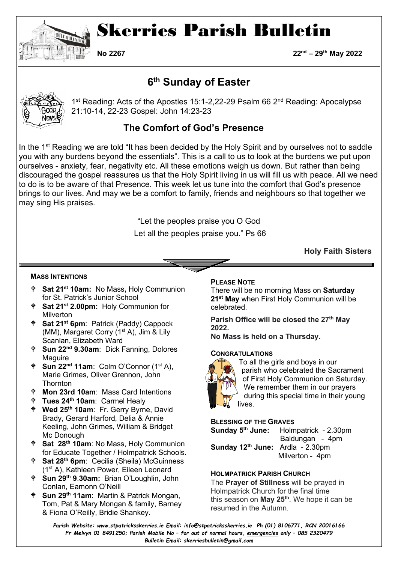

# Skerries Parish Bulletin

**No 2267 22nd – 29th May 2022**

### **6th Sunday of Easter**



1<sup>st</sup> Reading: Acts of the Apostles 15:1-2,22-29 Psalm 66 2<sup>nd</sup> Reading: Apocalypse 21:10-14, 22-23 Gospel: John 14:23-23

### **The Comfort of God's Presence**

In the 1<sup>st</sup> Reading we are told "It has been decided by the Holy Spirit and by ourselves not to saddle you with any burdens beyond the essentials". This is a call to us to look at the burdens we put upon ourselves - anxiety, fear, negativity etc. All these emotions weigh us down. But rather than being discouraged the gospel reassures us that the Holy Spirit living in us will fill us with peace. All we need to do is to be aware of that Presence. This week let us tune into the comfort that God's presence brings to our lives. And may we be a comfort to family, friends and neighbours so that together we may sing His praises.

> "Let the peoples praise you O God Let all the peoples praise you." Ps 66

> > **Holy Faith Sisters**

#### **MASS INTENTIONS**

- **Sat 21st 10am:** No Mass**,** Holy Communion for St. Patrick's Junior School
- **Sat 21st 2.00pm:** Holy Communion for **Milverton**
- **Sat 21st 6pm**: Patrick (Paddy) Cappock (MM), Margaret Corry (1<sup>st</sup> A), Jim & Lily Scanlan, Elizabeth Ward
- **Sun 22nd 9.30am**: Dick Fanning, Dolores **Maguire**
- **Sun 22<sup>nd</sup> 11am**: Colm O'Connor (1<sup>st</sup> A), Marie Grimes, Oliver Grennon, John **Thornton**
- **Mon 23rd 10am**: Mass Card Intentions
- **Tues 24th 10am**: Carmel Healy
- **Wed 25th 10am**: Fr. Gerry Byrne, David Brady, Gerard Harford, Delia & Annie Keeling, John Grimes, William & Bridget Mc Donough
- **Sat 28th 10am**: No Mass, Holy Communion for Educate Together / Holmpatrick Schools.
- **Sat 28th 6pm**: Cecilia (Sheila) McGuinness (1st A), Kathleen Power, Eileen Leonard
- **Sun 29th 9**.**30am:** Brian O'Loughlin, John Conlan, Eamonn O'Neill
- **Sun 29th 11am**: Martin & Patrick Mongan, Tom, Pat & Mary Mongan & family, Barney & Fiona O'Reilly, Bridie Shankey.

#### **PLEASE NOTE**

There will be no morning Mass on **Saturday 21st May** when First Holy Communion will be celebrated.

**Parish Office will be closed the 27th May 2022.** 

**No Mass is held on a Thursday.**

#### **CONGRATULATIONS**



To all the girls and boys in our parish who celebrated the Sacrament of First Holy Communion on Saturday. We remember them in our prayers during this special time in their young lives.

## **BLESSING OF THE GRAVES**<br>**Sunday 5<sup>th</sup> June:** Holm

**Sunday 5th June:** Holmpatrick - 2.30pm Baldungan - 4pm **Sunday 12th June:** Ardla - 2.30pm Milverton - 4pm

#### **HOLMPATRICK PARISH CHURCH**

The **Prayer of Stillness** will be prayed in Holmpatrick Church for the final time this season on **May 25th**. We hope it can be resumed in the Autumn.

*Parish Website: www[.stpatricksskerries.ie](mailto:stpatricksskerries.ie) Email: [info@stpatricksskerries.ie](mailto:info@stpatricksskerries.ie) Ph (01) 8106771, RCN 20016166 Fr Melvyn 01 8491250; Parish Mobile No – for out of normal hours, emergencies only – 085 2320479 Bulletin Email: skerriesbulletin@gmail.com*